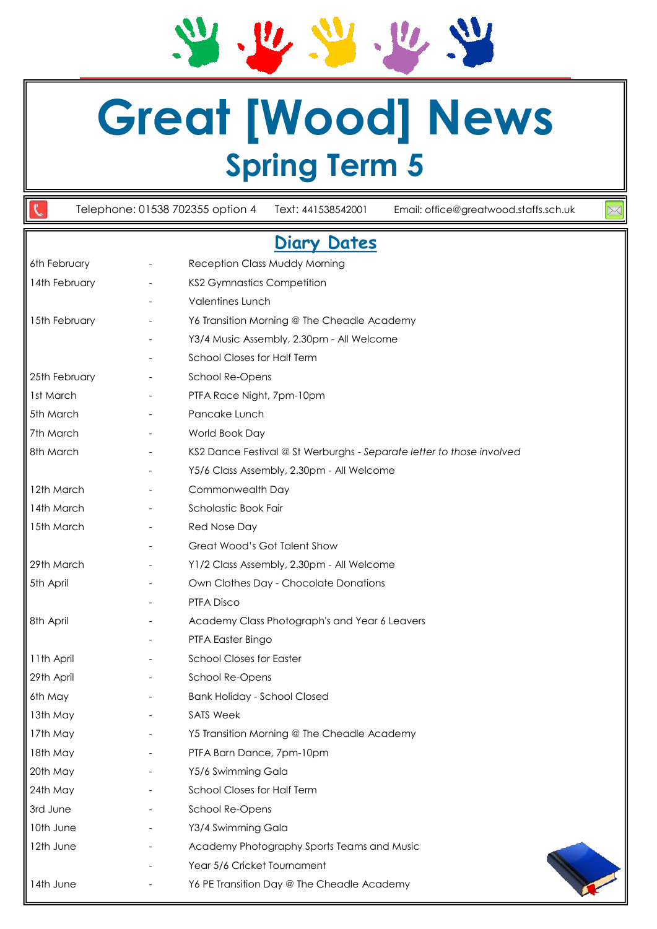## **Great [Wood] News Spring Term 5**

JU W

Telephone: 01538 702355 option 4 Text: 441538542001 Email: office@greatwood.staffs.sch.uk

V. 14

## **Diary Dates**

| 6th February  | $\overline{\phantom{a}}$ | Reception Class Muddy Morning                                         |
|---------------|--------------------------|-----------------------------------------------------------------------|
| 14th February | $\overline{\phantom{a}}$ | <b>KS2 Gymnastics Competition</b>                                     |
|               |                          | Valentines Lunch                                                      |
| 15th February |                          | Y6 Transition Morning @ The Cheadle Academy                           |
|               |                          | Y3/4 Music Assembly, 2.30pm - All Welcome                             |
|               |                          | <b>School Closes for Half Term</b>                                    |
| 25th February |                          | School Re-Opens                                                       |
| 1st March     |                          | PTFA Race Night, 7pm-10pm                                             |
| 5th March     | $\overline{\phantom{a}}$ | Pancake Lunch                                                         |
| 7th March     |                          | World Book Day                                                        |
| 8th March     |                          | KS2 Dance Festival @ St Werburghs - Separate letter to those involved |
|               |                          | Y5/6 Class Assembly, 2.30pm - All Welcome                             |
| 12th March    |                          | Commonwealth Day                                                      |
| 14th March    |                          | Scholastic Book Fair                                                  |
| 15th March    |                          | <b>Red Nose Day</b>                                                   |
|               |                          | Great Wood's Got Talent Show                                          |
| 29th March    |                          | Y1/2 Class Assembly, 2.30pm - All Welcome                             |
| 5th April     |                          | Own Clothes Day - Chocolate Donations                                 |
|               |                          | PTFA Disco                                                            |
| 8th April     |                          | Academy Class Photograph's and Year 6 Leavers                         |
|               |                          | PTFA Easter Bingo                                                     |
| 11th April    |                          | <b>School Closes for Easter</b>                                       |
| 29th April    |                          | School Re-Opens                                                       |
| 6th May       |                          | <b>Bank Holiday - School Closed</b>                                   |
| 13th May      |                          | <b>SATS Week</b>                                                      |
| 17th May      |                          | Y5 Transition Morning @ The Cheadle Academy                           |
| 18th May      |                          | PTFA Barn Dance, 7pm-10pm                                             |
| 20th May      |                          | Y5/6 Swimming Gala                                                    |
| 24th May      |                          | School Closes for Half Term                                           |
| 3rd June      |                          | School Re-Opens                                                       |
| 10th June     |                          | Y3/4 Swimming Gala                                                    |
| 12th June     |                          | Academy Photography Sports Teams and Music                            |
|               |                          | Year 5/6 Cricket Tournament                                           |
| 14th June     |                          | Y6 PE Transition Day @ The Cheadle Academy                            |